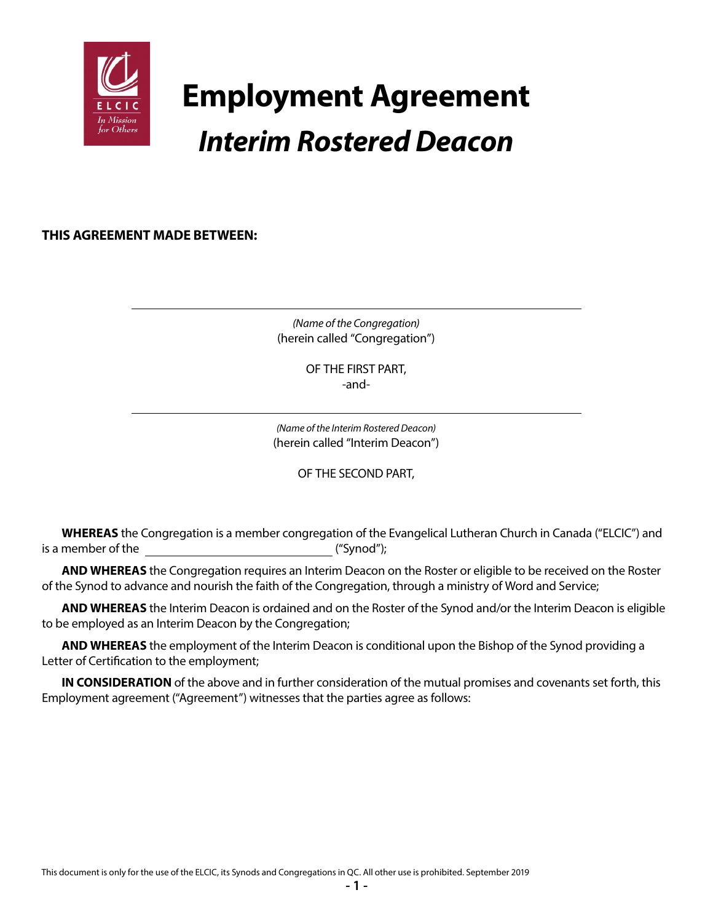

# **Employment Agreement** *Interim Rostered Deacon*

**THIS AGREEMENT MADE BETWEEN:**

*(Name of the Congregation)* (herein called "Congregation")

> OF THE FIRST PART, -and-

*(Name of the Interim Rostered Deacon)* (herein called "Interim Deacon")

OF THE SECOND PART,

**WHEREAS** the Congregation is a member congregation of the Evangelical Lutheran Church in Canada ("ELCIC") and is a member of the  $($ "Synod");

**AND WHEREAS** the Congregation requires an Interim Deacon on the Roster or eligible to be received on the Roster of the Synod to advance and nourish the faith of the Congregation, through a ministry of Word and Service;

**AND WHEREAS** the Interim Deacon is ordained and on the Roster of the Synod and/or the Interim Deacon is eligible to be employed as an Interim Deacon by the Congregation;

**AND WHEREAS** the employment of the Interim Deacon is conditional upon the Bishop of the Synod providing a Letter of Certification to the employment;

**IN CONSIDERATION** of the above and in further consideration of the mutual promises and covenants set forth, this Employment agreement ("Agreement") witnesses that the parties agree as follows: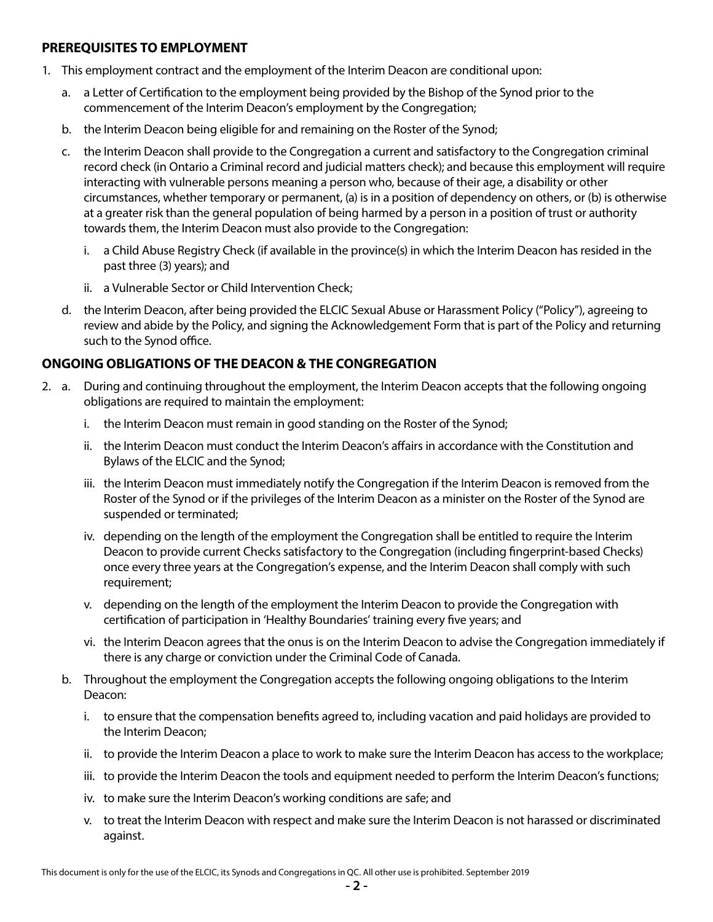### **PREREQUISITES TO EMPLOYMENT**

- 1. This employment contract and the employment of the Interim Deacon are conditional upon:
	- a. a Letter of Certification to the employment being provided by the Bishop of the Synod prior to the commencement of the Interim Deacon's employment by the Congregation;
	- b. the Interim Deacon being eligible for and remaining on the Roster of the Synod;
	- c. the Interim Deacon shall provide to the Congregation a current and satisfactory to the Congregation criminal record check (in Ontario a Criminal record and judicial matters check); and because this employment will require interacting with vulnerable persons meaning a person who, because of their age, a disability or other circumstances, whether temporary or permanent, (a) is in a position of dependency on others, or (b) is otherwise at a greater risk than the general population of being harmed by a person in a position of trust or authority towards them, the Interim Deacon must also provide to the Congregation:
		- i. a Child Abuse Registry Check (if available in the province(s) in which the Interim Deacon has resided in the past three (3) years); and
		- ii. a Vulnerable Sector or Child Intervention Check;
	- d. the Interim Deacon, after being provided the ELCIC Sexual Abuse or Harassment Policy ("Policy"), agreeing to review and abide by the Policy, and signing the Acknowledgement Form that is part of the Policy and returning such to the Synod office.

## **ONGOING OBLIGATIONS OF THE DEACON & THE CONGREGATION**

- 2. a. During and continuing throughout the employment, the Interim Deacon accepts that the following ongoing obligations are required to maintain the employment:
	- i. the Interim Deacon must remain in good standing on the Roster of the Synod;
	- ii. the Interim Deacon must conduct the Interim Deacon's affairs in accordance with the Constitution and Bylaws of the ELCIC and the Synod;
	- iii. the Interim Deacon must immediately notify the Congregation if the Interim Deacon is removed from the Roster of the Synod or if the privileges of the Interim Deacon as a minister on the Roster of the Synod are suspended or terminated;
	- iv. depending on the length of the employment the Congregation shall be entitled to require the Interim Deacon to provide current Checks satisfactory to the Congregation (including fingerprint-based Checks) once every three years at the Congregation's expense, and the Interim Deacon shall comply with such requirement;
	- v. depending on the length of the employment the Interim Deacon to provide the Congregation with certification of participation in 'Healthy Boundaries' training every five years; and
	- vi. the Interim Deacon agrees that the onus is on the Interim Deacon to advise the Congregation immediately if there is any charge or conviction under the Criminal Code of Canada.
	- b. Throughout the employment the Congregation accepts the following ongoing obligations to the Interim Deacon:
		- i. to ensure that the compensation benefits agreed to, including vacation and paid holidays are provided to the Interim Deacon;
		- ii. to provide the Interim Deacon a place to work to make sure the Interim Deacon has access to the workplace;
		- iii. to provide the Interim Deacon the tools and equipment needed to perform the Interim Deacon's functions;
		- iv. to make sure the Interim Deacon's working conditions are safe; and
		- v. to treat the Interim Deacon with respect and make sure the Interim Deacon is not harassed or discriminated against.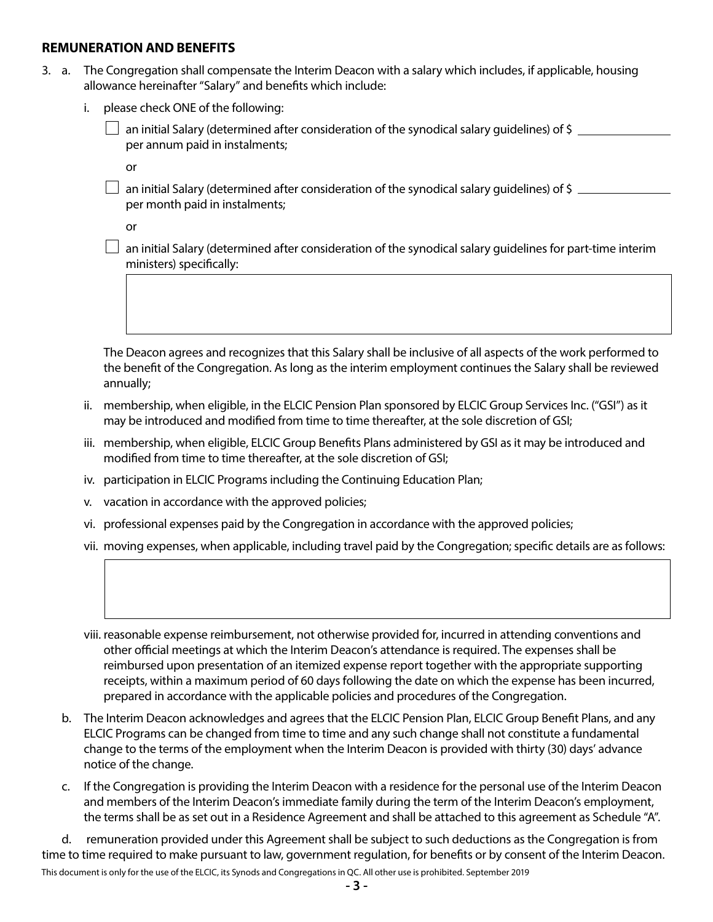#### **REMUNERATION AND BENEFITS**

- 3. a. The Congregation shall compensate the Interim Deacon with a salary which includes, if applicable, housing allowance hereinafter "Salary" and benefits which include:
	- i. please check ONE of the following:

 an initial Salary (determined after consideration of the synodical salary guidelines) of \$ per annum paid in instalments;

**or** *or* 

 $\Box$  an initial Salary (determined after consideration of the synodical salary guidelines) of \$ per month paid in instalments;

**or** *or* 

 $\Box$  an initial Salary (determined after consideration of the synodical salary guidelines for part-time interim ministers) specifically:

 The Deacon agrees and recognizes that this Salary shall be inclusive of all aspects of the work performed to the benefit of the Congregation. As long as the interim employment continues the Salary shall be reviewed annually;

- ii. membership, when eligible, in the ELCIC Pension Plan sponsored by ELCIC Group Services Inc. ("GSI") as it may be introduced and modified from time to time thereafter, at the sole discretion of GSI;
- iii. membership, when eligible, ELCIC Group Benefits Plans administered by GSI as it may be introduced and modified from time to time thereafter, at the sole discretion of GSI;
- iv. participation in ELCIC Programs including the Continuing Education Plan;
- v. vacation in accordance with the approved policies;
- vi. professional expenses paid by the Congregation in accordance with the approved policies;
- vii. moving expenses, when applicable, including travel paid by the Congregation; specific details are as follows:

 viii. reasonable expense reimbursement, not otherwise provided for, incurred in attending conventions and other official meetings at which the Interim Deacon's attendance is required. The expenses shall be reimbursed upon presentation of an itemized expense report together with the appropriate supporting receipts, within a maximum period of 60 days following the date on which the expense has been incurred, prepared in accordance with the applicable policies and procedures of the Congregation.

- b. The Interim Deacon acknowledges and agrees that the ELCIC Pension Plan, ELCIC Group Benefit Plans, and any ELCIC Programs can be changed from time to time and any such change shall not constitute a fundamental change to the terms of the employment when the Interim Deacon is provided with thirty (30) days' advance notice of the change.
- c. If the Congregation is providing the Interim Deacon with a residence for the personal use of the Interim Deacon and members of the Interim Deacon's immediate family during the term of the Interim Deacon's employment, the terms shall be as set out in a Residence Agreement and shall be attached to this agreement as Schedule "A".

d. remuneration provided under this Agreement shall be subject to such deductions as the Congregation is from time to time required to make pursuant to law, government regulation, for benefits or by consent of the Interim Deacon.

This document is only for the use of the ELCIC, its Synods and Congregations in QC. All other use is prohibited. September 2019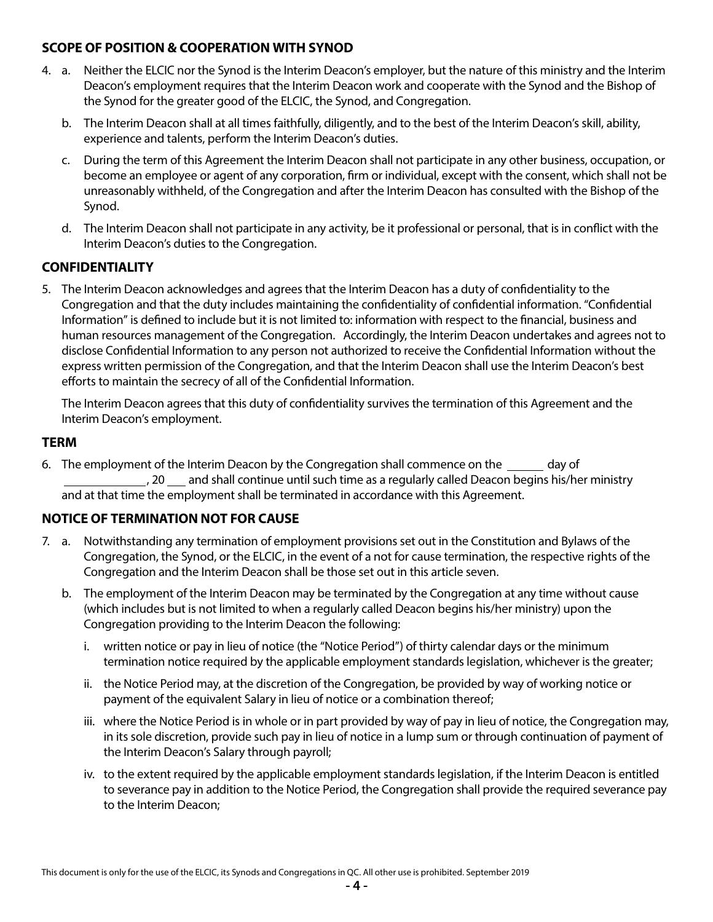## **SCOPE OF POSITION & COOPERATION WITH SYNOD**

- 4. a. Neither the ELCIC nor the Synod is the Interim Deacon's employer, but the nature of this ministry and the Interim Deacon's employment requires that the Interim Deacon work and cooperate with the Synod and the Bishop of the Synod for the greater good of the ELCIC, the Synod, and Congregation.
	- b. The Interim Deacon shall at all times faithfully, diligently, and to the best of the Interim Deacon's skill, ability, experience and talents, perform the Interim Deacon's duties.
	- c. During the term of this Agreement the Interim Deacon shall not participate in any other business, occupation, or become an employee or agent of any corporation, firm or individual, except with the consent, which shall not be unreasonably withheld, of the Congregation and after the Interim Deacon has consulted with the Bishop of the Synod.
	- d. The Interim Deacon shall not participate in any activity, be it professional or personal, that is in conflict with the Interim Deacon's duties to the Congregation.

## **CONFIDENTIALITY**

5. The Interim Deacon acknowledges and agrees that the Interim Deacon has a duty of confidentiality to the Congregation and that the duty includes maintaining the confidentiality of confidential information. "Confidential Information" is defined to include but it is not limited to: information with respect to the financial, business and human resources management of the Congregation. Accordingly, the Interim Deacon undertakes and agrees not to disclose Confidential Information to any person not authorized to receive the Confidential Information without the express written permission of the Congregation, and that the Interim Deacon shall use the Interim Deacon's best efforts to maintain the secrecy of all of the Confidential Information.

The Interim Deacon agrees that this duty of confidentiality survives the termination of this Agreement and the Interim Deacon's employment.

#### **TERM**

6. The employment of the Interim Deacon by the Congregation shall commence on the \_\_\_\_\_\_ day of ., 20 <sub>carr</sub> and shall continue until such time as a regularly called Deacon begins his/her ministry and at that time the employment shall be terminated in accordance with this Agreement.

## **NOTICE OF TERMINATION NOT FOR CAUSE**

- 7. a. Notwithstanding any termination of employment provisions set out in the Constitution and Bylaws of the Congregation, the Synod, or the ELCIC, in the event of a not for cause termination, the respective rights of the Congregation and the Interim Deacon shall be those set out in this article seven.
	- b. The employment of the Interim Deacon may be terminated by the Congregation at any time without cause (which includes but is not limited to when a regularly called Deacon begins his/her ministry) upon the Congregation providing to the Interim Deacon the following:
		- i. written notice or pay in lieu of notice (the "Notice Period") of thirty calendar days or the minimum termination notice required by the applicable employment standards legislation, whichever is the greater;
		- ii. the Notice Period may, at the discretion of the Congregation, be provided by way of working notice or payment of the equivalent Salary in lieu of notice or a combination thereof;
		- iii. where the Notice Period is in whole or in part provided by way of pay in lieu of notice, the Congregation may, in its sole discretion, provide such pay in lieu of notice in a lump sum or through continuation of payment of the Interim Deacon's Salary through payroll;
		- iv. to the extent required by the applicable employment standards legislation, if the Interim Deacon is entitled to severance pay in addition to the Notice Period, the Congregation shall provide the required severance pay to the Interim Deacon;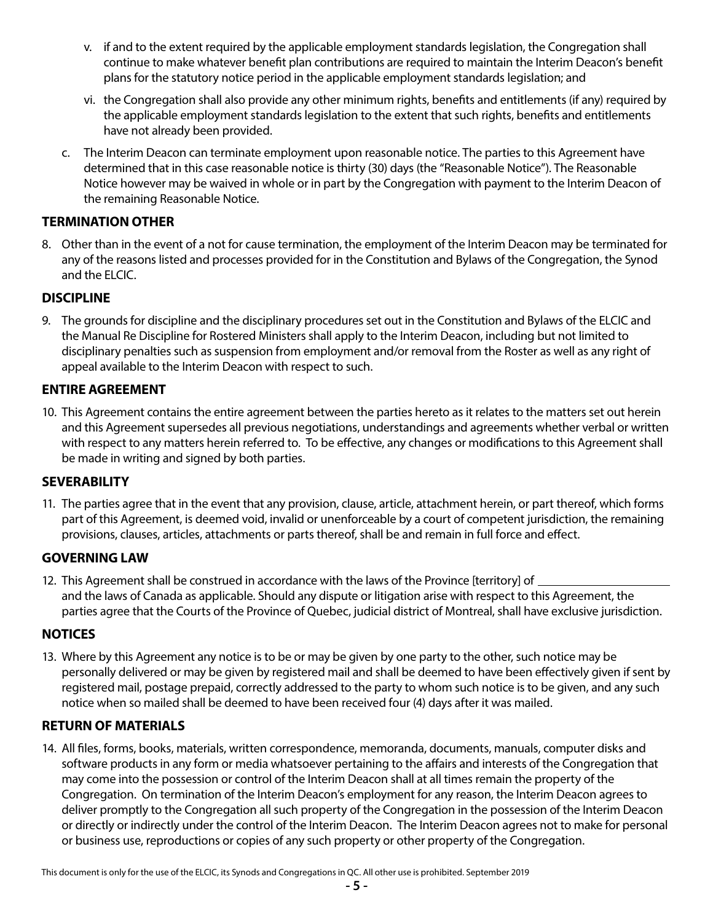- v. if and to the extent required by the applicable employment standards legislation, the Congregation shall continue to make whatever benefit plan contributions are required to maintain the Interim Deacon's benefit plans for the statutory notice period in the applicable employment standards legislation; and
- vi. the Congregation shall also provide any other minimum rights, benefits and entitlements (if any) required by the applicable employment standards legislation to the extent that such rights, benefits and entitlements have not already been provided.
- c. The Interim Deacon can terminate employment upon reasonable notice. The parties to this Agreement have determined that in this case reasonable notice is thirty (30) days (the "Reasonable Notice"). The Reasonable Notice however may be waived in whole or in part by the Congregation with payment to the Interim Deacon of the remaining Reasonable Notice.

## **TERMINATION OTHER**

8. Other than in the event of a not for cause termination, the employment of the Interim Deacon may be terminated for any of the reasons listed and processes provided for in the Constitution and Bylaws of the Congregation, the Synod and the ELCIC.

## **DISCIPLINE**

9. The grounds for discipline and the disciplinary procedures set out in the Constitution and Bylaws of the ELCIC and the Manual Re Discipline for Rostered Ministers shall apply to the Interim Deacon, including but not limited to disciplinary penalties such as suspension from employment and/or removal from the Roster as well as any right of appeal available to the Interim Deacon with respect to such.

### **ENTIRE AGREEMENT**

10. This Agreement contains the entire agreement between the parties hereto as it relates to the matters set out herein and this Agreement supersedes all previous negotiations, understandings and agreements whether verbal or written with respect to any matters herein referred to. To be effective, any changes or modifications to this Agreement shall be made in writing and signed by both parties.

#### **SEVERABILITY**

11. The parties agree that in the event that any provision, clause, article, attachment herein, or part thereof, which forms part of this Agreement, is deemed void, invalid or unenforceable by a court of competent jurisdiction, the remaining provisions, clauses, articles, attachments or parts thereof, shall be and remain in full force and effect.

## **GOVERNING LAW**

12. This Agreement shall be construed in accordance with the laws of the Province [territory] of  $\equiv$ and the laws of Canada as applicable. Should any dispute or litigation arise with respect to this Agreement, the parties agree that the Courts of the Province of Quebec, judicial district of Montreal, shall have exclusive jurisdiction.

## **NOTICES**

13. Where by this Agreement any notice is to be or may be given by one party to the other, such notice may be personally delivered or may be given by registered mail and shall be deemed to have been effectively given if sent by registered mail, postage prepaid, correctly addressed to the party to whom such notice is to be given, and any such notice when so mailed shall be deemed to have been received four (4) days after it was mailed.

#### **RETURN OF MATERIALS**

14. All files, forms, books, materials, written correspondence, memoranda, documents, manuals, computer disks and software products in any form or media whatsoever pertaining to the affairs and interests of the Congregation that may come into the possession or control of the Interim Deacon shall at all times remain the property of the Congregation. On termination of the Interim Deacon's employment for any reason, the Interim Deacon agrees to deliver promptly to the Congregation all such property of the Congregation in the possession of the Interim Deacon or directly or indirectly under the control of the Interim Deacon. The Interim Deacon agrees not to make for personal or business use, reproductions or copies of any such property or other property of the Congregation.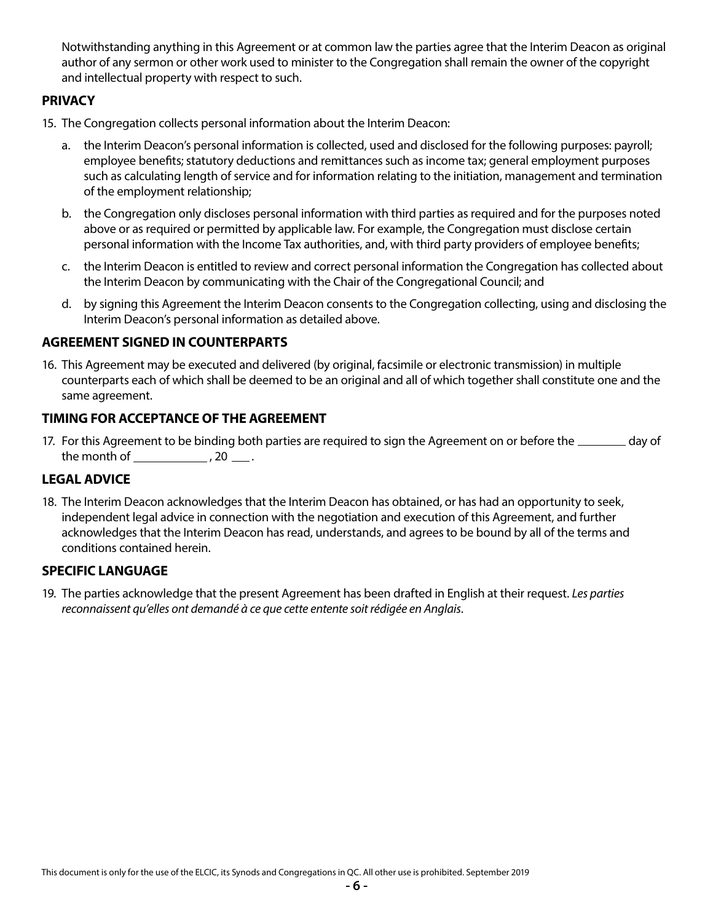Notwithstanding anything in this Agreement or at common law the parties agree that the Interim Deacon as original author of any sermon or other work used to minister to the Congregation shall remain the owner of the copyright and intellectual property with respect to such.

## **PRIVACY**

- 15. The Congregation collects personal information about the Interim Deacon:
	- a. the Interim Deacon's personal information is collected, used and disclosed for the following purposes: payroll; employee benefits; statutory deductions and remittances such as income tax; general employment purposes such as calculating length of service and for information relating to the initiation, management and termination of the employment relationship;
	- b. the Congregation only discloses personal information with third parties as required and for the purposes noted above or as required or permitted by applicable law. For example, the Congregation must disclose certain personal information with the Income Tax authorities, and, with third party providers of employee benefits;
	- c. the Interim Deacon is entitled to review and correct personal information the Congregation has collected about the Interim Deacon by communicating with the Chair of the Congregational Council; and
	- d. by signing this Agreement the Interim Deacon consents to the Congregation collecting, using and disclosing the Interim Deacon's personal information as detailed above.

#### **AGREEMENT SIGNED IN COUNTERPARTS**

16. This Agreement may be executed and delivered (by original, facsimile or electronic transmission) in multiple counterparts each of which shall be deemed to be an original and all of which together shall constitute one and the same agreement.

#### **TIMING FOR ACCEPTANCE OF THE AGREEMENT**

17. For this Agreement to be binding both parties are required to sign the Agreement on or before the \_\_\_\_\_\_\_ day of the month of  $\frac{1}{2}$ , 20  $\frac{1}{2}$ .

### **LEGAL ADVICE**

18. The Interim Deacon acknowledges that the Interim Deacon has obtained, or has had an opportunity to seek, independent legal advice in connection with the negotiation and execution of this Agreement, and further acknowledges that the Interim Deacon has read, understands, and agrees to be bound by all of the terms and conditions contained herein.

#### **SPECIFIC LANGUAGE**

19. The parties acknowledge that the present Agreement has been drafted in English at their request. *Les parties reconnaissent qu'elles ont demandé à ce que cette entente soit rédigée en Anglais*.